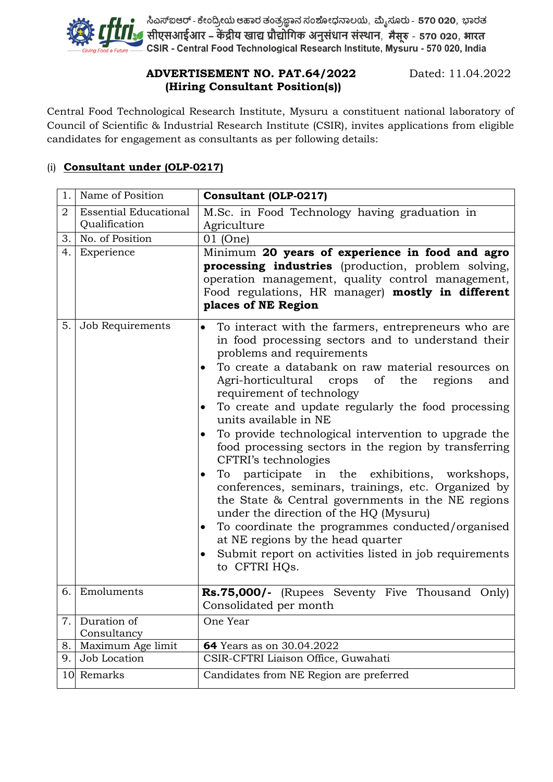

# **ADVERTISEMENT NO. PAT.64/2022** Dated: 11.04.2022  **(Hiring Consultant Position(s))**

Central Food Technological Research Institute, Mysuru a constituent national laboratory of Council of Scientific & Industrial Research Institute (CSIR), invites applications from eligible candidates for engagement as consultants as per following details:

### (i) **Consultant under (OLP-0217)**

| 1.  | Name of Position                              | Consultant (OLP-0217)                                                                                                                                                                                                                                                                                                                                                                                                                                                                                                                                                                                                                                                                                                                                                                                                                                                                                              |
|-----|-----------------------------------------------|--------------------------------------------------------------------------------------------------------------------------------------------------------------------------------------------------------------------------------------------------------------------------------------------------------------------------------------------------------------------------------------------------------------------------------------------------------------------------------------------------------------------------------------------------------------------------------------------------------------------------------------------------------------------------------------------------------------------------------------------------------------------------------------------------------------------------------------------------------------------------------------------------------------------|
| 2   | <b>Essential Educational</b><br>Qualification | M.Sc. in Food Technology having graduation in<br>Agriculture                                                                                                                                                                                                                                                                                                                                                                                                                                                                                                                                                                                                                                                                                                                                                                                                                                                       |
| 3.  | No. of Position                               | 01 (One)                                                                                                                                                                                                                                                                                                                                                                                                                                                                                                                                                                                                                                                                                                                                                                                                                                                                                                           |
| 4.  | Experience                                    | Minimum 20 years of experience in food and agro<br>processing industries (production, problem solving,<br>operation management, quality control management,<br>Food regulations, HR manager) mostly in different<br>places of NE Region                                                                                                                                                                                                                                                                                                                                                                                                                                                                                                                                                                                                                                                                            |
| 5.1 | Job Requirements                              | To interact with the farmers, entrepreneurs who are<br>$\bullet$<br>in food processing sectors and to understand their<br>problems and requirements<br>To create a databank on raw material resources on<br>Agri-horticultural crops of<br>the<br>regions<br>and<br>requirement of technology<br>To create and update regularly the food processing<br>units available in NE<br>To provide technological intervention to upgrade the<br>food processing sectors in the region by transferring<br>CFTRI's technologies<br>To participate in the exhibitions, workshops,<br>٠<br>conferences, seminars, trainings, etc. Organized by<br>the State & Central governments in the NE regions<br>under the direction of the HQ (Mysuru)<br>To coordinate the programmes conducted/organised<br>at NE regions by the head quarter<br>Submit report on activities listed in job requirements<br>$\bullet$<br>to CFTRI HQs. |
| 6.  | Emoluments                                    | <b>Rs.75,000/-</b> (Rupees Seventy Five Thousand Only)                                                                                                                                                                                                                                                                                                                                                                                                                                                                                                                                                                                                                                                                                                                                                                                                                                                             |
|     |                                               | Consolidated per month                                                                                                                                                                                                                                                                                                                                                                                                                                                                                                                                                                                                                                                                                                                                                                                                                                                                                             |
| 7.  | Duration of<br>Consultancy                    | One Year                                                                                                                                                                                                                                                                                                                                                                                                                                                                                                                                                                                                                                                                                                                                                                                                                                                                                                           |
| 8.  | Maximum Age limit                             | 64 Years as on 30.04.2022                                                                                                                                                                                                                                                                                                                                                                                                                                                                                                                                                                                                                                                                                                                                                                                                                                                                                          |
| 9.  | Job Location                                  | CSIR-CFTRI Liaison Office, Guwahati                                                                                                                                                                                                                                                                                                                                                                                                                                                                                                                                                                                                                                                                                                                                                                                                                                                                                |
| 10  | Remarks                                       | Candidates from NE Region are preferred                                                                                                                                                                                                                                                                                                                                                                                                                                                                                                                                                                                                                                                                                                                                                                                                                                                                            |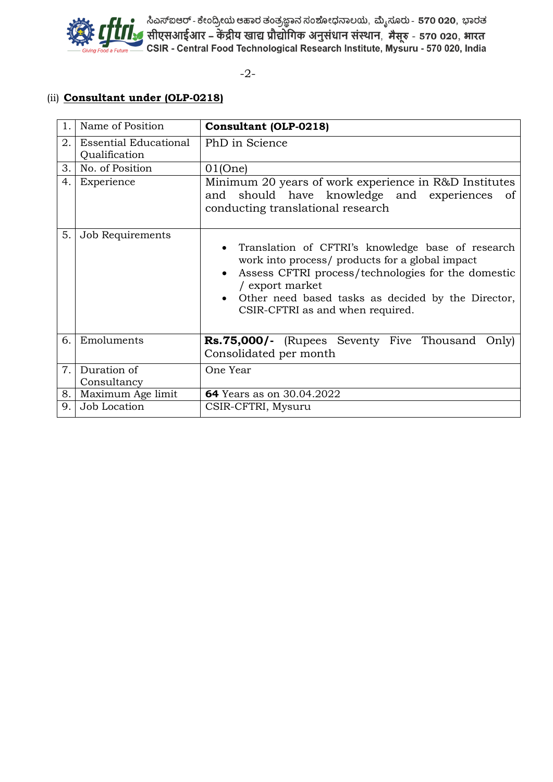

ಮೊಗ್ಗೆ ಕೈ ನಿಎಸ್ಐಆರ್- ಕೇಂದ್ರೀಯ ಆಹಾರ ತಂತ್ರಜ್ಞಾನ ಸಂಶೋಧನಾಲಯ, ಮೈಸೂರು - 570 020, ಭಾರತ<br>ಮೂರ್ ಕೈ ಮೂಲ್ ಕೈ ಮಾಡಿ ಮಾಡಿದ ಮಾಡಿದ ಮಾಡಿದ ಮಾಡಿದ ಮಾಡಿದ ಮಾಡಿದ ಮಾಡಿದ ಮಾಡಿದ ಮಾಡಿದ ಮಾಡಿದ ಮಾಡಿದ ಮಾಡಿದ ಮಾಡಿದ ಮಾಡಿದ ಮಾಡಿದ<br>— Giving Food a Future — CSI

-2-

### (ii) **Consultant under (OLP-0218)**

| 1. | Name of Position                              | <b>Consultant (OLP-0218)</b>                                                                                                                                                                                                                                            |
|----|-----------------------------------------------|-------------------------------------------------------------------------------------------------------------------------------------------------------------------------------------------------------------------------------------------------------------------------|
| 2. | <b>Essential Educational</b><br>Qualification | PhD in Science                                                                                                                                                                                                                                                          |
| 3. | No. of Position                               | 01(One)                                                                                                                                                                                                                                                                 |
| 4. | Experience                                    | Minimum 20 years of work experience in R&D Institutes<br>and should have knowledge and experiences<br>0f<br>conducting translational research                                                                                                                           |
| 5. | Job Requirements                              | Translation of CFTRI's knowledge base of research<br>work into process/ products for a global impact<br>Assess CFTRI process/technologies for the domestic<br>/ export market<br>Other need based tasks as decided by the Director,<br>CSIR-CFTRI as and when required. |
| 6. | Emoluments                                    | <b>Rs.75,000/-</b> (Rupees Seventy Five Thousand<br>Only)<br>Consolidated per month                                                                                                                                                                                     |
| 7. | Duration of<br>Consultancy                    | One Year                                                                                                                                                                                                                                                                |
| 8. | Maximum Age limit                             | 64 Years as on 30.04.2022                                                                                                                                                                                                                                               |
| 9. | Job Location                                  | CSIR-CFTRI, Mysuru                                                                                                                                                                                                                                                      |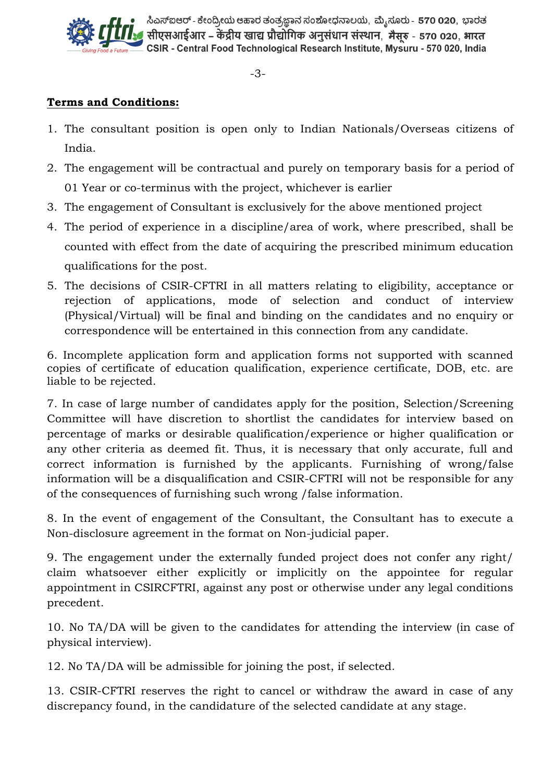

ಸಿಎಸ್ಐಆರ್ - ಕೇಂದ್ರೀಯ ಆಹಾರ ತಂತ್ರಜ್ಞಾನ ಸಂಶೋಧನಾಲಯ, ಮ್ಯೆಸೂರು - 570 020, ಭಾರತ ्र सीएसआईआर – केंद्रीय खाद्य प्रौद्योगिक अनुसंधान संस्थान, मैसुरु - 570 020, भारत CSIR - Central Food Technological Research Institute, Mysuru - 570 020, India

-3-

# **Terms and Conditions:**

- 1. The consultant position is open only to Indian Nationals/Overseas citizens of India.
- 2. The engagement will be contractual and purely on temporary basis for a period of 01 Year or co-terminus with the project, whichever is earlier
- 3. The engagement of Consultant is exclusively for the above mentioned project
- 4. The period of experience in a discipline/area of work, where prescribed, shall be counted with effect from the date of acquiring the prescribed minimum education qualifications for the post.
- 5. The decisions of CSIR-CFTRI in all matters relating to eligibility, acceptance or rejection of applications, mode of selection and conduct of interview (Physical/Virtual) will be final and binding on the candidates and no enquiry or correspondence will be entertained in this connection from any candidate.

6. Incomplete application form and application forms not supported with scanned copies of certificate of education qualification, experience certificate, DOB, etc. are liable to be rejected.

7. In case of large number of candidates apply for the position, Selection/Screening Committee will have discretion to shortlist the candidates for interview based on percentage of marks or desirable qualification/experience or higher qualification or any other criteria as deemed fit. Thus, it is necessary that only accurate, full and correct information is furnished by the applicants. Furnishing of wrong/false information will be a disqualification and CSIR-CFTRI will not be responsible for any of the consequences of furnishing such wrong /false information.

8. In the event of engagement of the Consultant, the Consultant has to execute a Non-disclosure agreement in the format on Non-judicial paper.

9. The engagement under the externally funded project does not confer any right/ claim whatsoever either explicitly or implicitly on the appointee for regular appointment in CSIRCFTRI, against any post or otherwise under any legal conditions precedent.

10. No TA/DA will be given to the candidates for attending the interview (in case of physical interview).

12. No TA/DA will be admissible for joining the post, if selected.

13. CSIR-CFTRI reserves the right to cancel or withdraw the award in case of any discrepancy found, in the candidature of the selected candidate at any stage.